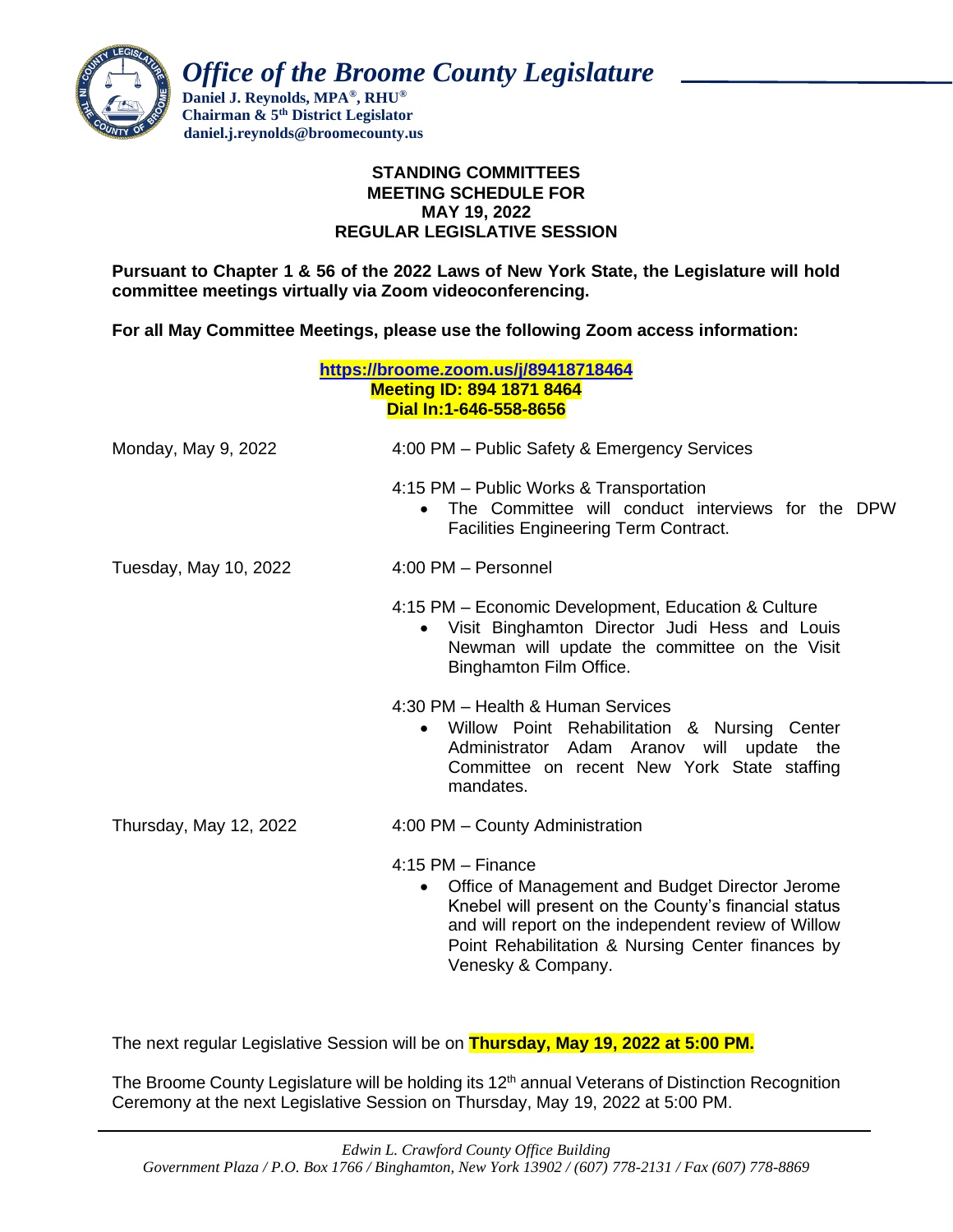

 *Office of the Broome County Legislature*

 **Daniel J. Reynolds, MPA®, RHU® Chairman & 5th District Legislator daniel.j.reynolds@broomecounty.us**

# **STANDING COMMITTEES MEETING SCHEDULE FOR MAY 19, 2022 REGULAR LEGISLATIVE SESSION**

**Pursuant to Chapter 1 & 56 of the 2022 Laws of New York State, the Legislature will hold committee meetings virtually via Zoom videoconferencing.** 

**For all May Committee Meetings, please use the following Zoom access information:**

| https://broome.zoom.us/j/89418718464<br><b>Meeting ID: 894 1871 8464</b><br>Dial In:1-646-558-8656 |                                                                                                                                                                                                                                                           |
|----------------------------------------------------------------------------------------------------|-----------------------------------------------------------------------------------------------------------------------------------------------------------------------------------------------------------------------------------------------------------|
| Monday, May 9, 2022                                                                                | 4:00 PM - Public Safety & Emergency Services                                                                                                                                                                                                              |
|                                                                                                    | 4:15 PM - Public Works & Transportation<br>The Committee will conduct interviews for the DPW<br>$\bullet$<br><b>Facilities Engineering Term Contract.</b>                                                                                                 |
| Tuesday, May 10, 2022                                                                              | 4:00 PM - Personnel                                                                                                                                                                                                                                       |
|                                                                                                    | 4:15 PM – Economic Development, Education & Culture<br>Visit Binghamton Director Judi Hess and Louis<br>$\bullet$<br>Newman will update the committee on the Visit<br>Binghamton Film Office.                                                             |
|                                                                                                    | 4:30 PM - Health & Human Services<br>Willow Point Rehabilitation & Nursing Center<br>$\bullet$<br>Administrator Adam Aranov will update the<br>Committee on recent New York State staffing<br>mandates.                                                   |
| Thursday, May 12, 2022                                                                             | 4:00 PM - County Administration                                                                                                                                                                                                                           |
|                                                                                                    | $4:15$ PM $-$ Finance<br>Office of Management and Budget Director Jerome<br>$\bullet$<br>Knebel will present on the County's financial status<br>and will report on the independent review of Willow<br>Point Rehabilitation & Nursing Center finances by |

The next regular Legislative Session will be on **Thursday, May 19, 2022 at 5:00 PM.**

The Broome County Legislature will be holding its 12<sup>th</sup> annual Veterans of Distinction Recognition Ceremony at the next Legislative Session on Thursday, May 19, 2022 at 5:00 PM.

Venesky & Company.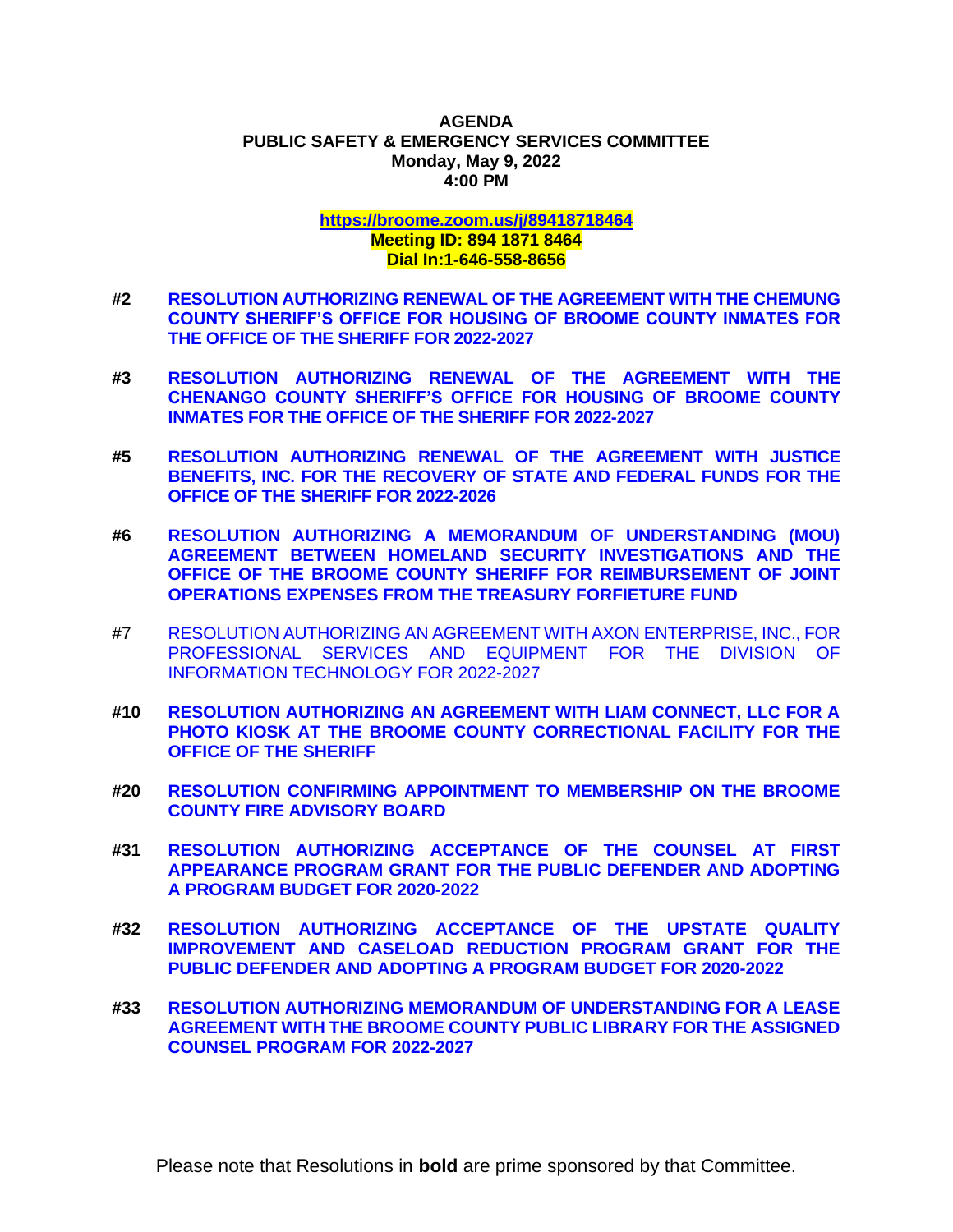#### **AGENDA PUBLIC SAFETY & EMERGENCY SERVICES COMMITTEE Monday, May 9, 2022 4:00 PM**

# **<https://broome.zoom.us/j/89418718464> Meeting ID: 894 1871 8464 Dial In:1-646-558-8656**

- **#2 [RESOLUTION AUTHORIZING RENEWAL OF THE AGREEMENT WITH THE CHEMUNG](https://www.gobroomecounty.com/sites/default/files/dept/legis/05192022-02.pdf)  [COUNTY SHERIFF'S OFFICE FOR HOUSING OF BROOME COUNTY INMATES FOR](https://www.gobroomecounty.com/sites/default/files/dept/legis/05192022-02.pdf)  [THE OFFICE OF THE SHERIFF FOR 2022-2027](https://www.gobroomecounty.com/sites/default/files/dept/legis/05192022-02.pdf)**
- **#3 [RESOLUTION AUTHORIZING RENEWAL OF THE AGREEMENT WITH THE](https://www.gobroomecounty.com/sites/default/files/dept/legis/05192022-03.pdf)  [CHENANGO COUNTY SHERIFF'S OFFICE FOR HOUSING OF BROOME COUNTY](https://www.gobroomecounty.com/sites/default/files/dept/legis/05192022-03.pdf)  [INMATES FOR THE OFFICE OF THE SHERIFF FOR 2022-2027](https://www.gobroomecounty.com/sites/default/files/dept/legis/05192022-03.pdf)**
- **#5 [RESOLUTION AUTHORIZING RENEWAL OF THE AGREEMENT WITH JUSTICE](https://www.gobroomecounty.com/sites/default/files/dept/legis/05192022-05.pdf)  [BENEFITS, INC. FOR THE RECOVERY OF STATE AND FEDERAL FUNDS FOR THE](https://www.gobroomecounty.com/sites/default/files/dept/legis/05192022-05.pdf)  [OFFICE OF THE SHERIFF FOR 2022-2026](https://www.gobroomecounty.com/sites/default/files/dept/legis/05192022-05.pdf)**
- **#6 [RESOLUTION AUTHORIZING A MEMORANDUM OF UNDERSTANDING \(MOU\)](https://www.gobroomecounty.com/sites/default/files/dept/legis/05192022-06.pdf)  [AGREEMENT BETWEEN HOMELAND SECURITY INVESTIGATIONS AND THE](https://www.gobroomecounty.com/sites/default/files/dept/legis/05192022-06.pdf)  [OFFICE OF THE BROOME COUNTY SHERIFF FOR REIMBURSEMENT OF JOINT](https://www.gobroomecounty.com/sites/default/files/dept/legis/05192022-06.pdf)  [OPERATIONS EXPENSES FROM THE TREASURY FORFIETURE FUND](https://www.gobroomecounty.com/sites/default/files/dept/legis/05192022-06.pdf)**
- #7 [RESOLUTION AUTHORIZING AN AGREEMENT WITH AXON](https://www.gobroomecounty.com/sites/default/files/dept/legis/05192022-07.pdf) ENTERPRISE, INC., FOR [PROFESSIONAL SERVICES AND EQUIPMENT FOR THE DIVISION OF](https://www.gobroomecounty.com/sites/default/files/dept/legis/05192022-07.pdf)  [INFORMATION TECHNOLOGY FOR 2022-2027](https://www.gobroomecounty.com/sites/default/files/dept/legis/05192022-07.pdf)
- **#10 [RESOLUTION AUTHORIZING AN AGREEMENT WITH LIAM CONNECT, LLC FOR A](https://www.gobroomecounty.com/sites/default/files/dept/legis/05192022-10.pdf)  [PHOTO KIOSK AT THE BROOME COUNTY CORRECTIONAL FACILITY FOR THE](https://www.gobroomecounty.com/sites/default/files/dept/legis/05192022-10.pdf)  [OFFICE OF THE SHERIFF](https://www.gobroomecounty.com/sites/default/files/dept/legis/05192022-10.pdf)**
- **#20 [RESOLUTION CONFIRMING APPOINTMENT TO MEMBERSHIP ON THE BROOME](https://www.gobroomecounty.com/sites/default/files/dept/legis/05192022-20.pdf)  [COUNTY FIRE ADVISORY BOARD](https://www.gobroomecounty.com/sites/default/files/dept/legis/05192022-20.pdf)**
- **#31 [RESOLUTION AUTHORIZING ACCEPTANCE OF THE COUNSEL AT FIRST](https://www.gobroomecounty.com/sites/default/files/dept/legis/05192022-31.pdf)  [APPEARANCE PROGRAM GRANT FOR THE PUBLIC DEFENDER AND ADOPTING](https://www.gobroomecounty.com/sites/default/files/dept/legis/05192022-31.pdf)  [A PROGRAM BUDGET FOR 2020-2022](https://www.gobroomecounty.com/sites/default/files/dept/legis/05192022-31.pdf)**
- **#32 [RESOLUTION AUTHORIZING ACCEPTANCE OF THE UPSTATE QUALITY](https://www.gobroomecounty.com/sites/default/files/dept/legis/05192022-32.pdf)  [IMPROVEMENT AND CASELOAD REDUCTION PROGRAM GRANT FOR THE](https://www.gobroomecounty.com/sites/default/files/dept/legis/05192022-32.pdf)  [PUBLIC DEFENDER AND ADOPTING A PROGRAM BUDGET FOR 2020-2022](https://www.gobroomecounty.com/sites/default/files/dept/legis/05192022-32.pdf)**
- **#33 [RESOLUTION AUTHORIZING MEMORANDUM OF UNDERSTANDING FOR A LEASE](https://www.gobroomecounty.com/sites/default/files/dept/legis/05192022-33.pdf)  [AGREEMENT WITH THE BROOME COUNTY PUBLIC LIBRARY FOR THE ASSIGNED](https://www.gobroomecounty.com/sites/default/files/dept/legis/05192022-33.pdf)  [COUNSEL PROGRAM FOR](https://www.gobroomecounty.com/sites/default/files/dept/legis/05192022-33.pdf) 2022-2027**

Please note that Resolutions in **bold** are prime sponsored by that Committee.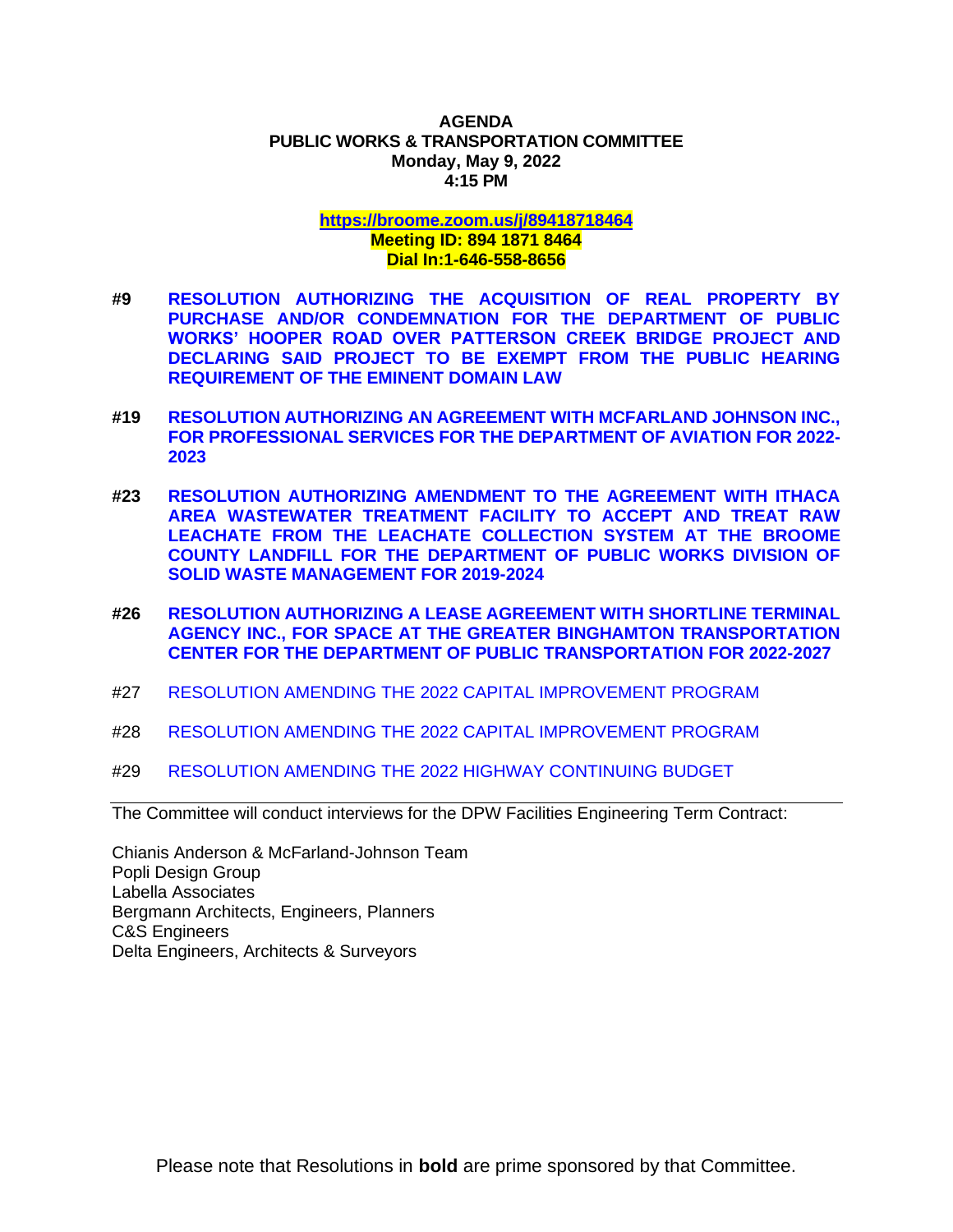#### **AGENDA PUBLIC WORKS & TRANSPORTATION COMMITTEE Monday, May 9, 2022 4:15 PM**

### **<https://broome.zoom.us/j/89418718464> Meeting ID: 894 1871 8464 Dial In:1-646-558-8656**

- **#9 [RESOLUTION AUTHORIZING THE ACQUISITION OF REAL PROPERTY BY](https://www.gobroomecounty.com/sites/default/files/dept/legis/05192022-09.pdf)  [PURCHASE AND/OR CONDEMNATION FOR THE DEPARTMENT OF PUBLIC](https://www.gobroomecounty.com/sites/default/files/dept/legis/05192022-09.pdf)  [WORKS' HOOPER ROAD OVER PATTERSON CREEK BRIDGE PROJECT AND](https://www.gobroomecounty.com/sites/default/files/dept/legis/05192022-09.pdf)  [DECLARING SAID PROJECT TO BE EXEMPT FROM THE PUBLIC HEARING](https://www.gobroomecounty.com/sites/default/files/dept/legis/05192022-09.pdf)  [REQUIREMENT OF THE EMINENT DOMAIN LAW](https://www.gobroomecounty.com/sites/default/files/dept/legis/05192022-09.pdf)**
- **#19 [RESOLUTION AUTHORIZING AN AGREEMENT WITH MCFARLAND JOHNSON INC.,](https://www.gobroomecounty.com/sites/default/files/dept/legis/05192022-19.pdf)  [FOR PROFESSIONAL SERVICES FOR THE DEPARTMENT OF AVIATION FOR 2022-](https://www.gobroomecounty.com/sites/default/files/dept/legis/05192022-19.pdf) [2023](https://www.gobroomecounty.com/sites/default/files/dept/legis/05192022-19.pdf)**
- **#23 [RESOLUTION AUTHORIZING AMENDMENT TO THE AGREEMENT WITH ITHACA](https://www.gobroomecounty.com/sites/default/files/dept/legis/05192022-23.pdf)  [AREA WASTEWATER TREATMENT FACILITY TO ACCEPT AND TREAT RAW](https://www.gobroomecounty.com/sites/default/files/dept/legis/05192022-23.pdf)  [LEACHATE FROM THE LEACHATE COLLECTION SYSTEM AT THE BROOME](https://www.gobroomecounty.com/sites/default/files/dept/legis/05192022-23.pdf)  [COUNTY LANDFILL FOR THE DEPARTMENT OF PUBLIC WORKS DIVISION OF](https://www.gobroomecounty.com/sites/default/files/dept/legis/05192022-23.pdf)  [SOLID WASTE MANAGEMENT FOR 2019-2024](https://www.gobroomecounty.com/sites/default/files/dept/legis/05192022-23.pdf)**
- **#26 [RESOLUTION AUTHORIZING A LEASE AGREEMENT WITH SHORTLINE TERMINAL](https://www.gobroomecounty.com/sites/default/files/dept/legis/05192022-26.pdf)  [AGENCY INC., FOR SPACE AT THE GREATER BINGHAMTON TRANSPORTATION](https://www.gobroomecounty.com/sites/default/files/dept/legis/05192022-26.pdf)  [CENTER FOR THE DEPARTMENT OF PUBLIC](https://www.gobroomecounty.com/sites/default/files/dept/legis/05192022-26.pdf) TRANSPORTATION FOR 2022-2027**
- #27 [RESOLUTION AMENDING THE 2022 CAPITAL IMPROVEMENT PROGRAM](https://www.gobroomecounty.com/sites/default/files/dept/legis/05192022-27.pdf)
- #28 [RESOLUTION AMENDING THE 2022 CAPITAL IMPROVEMENT PROGRAM](https://www.gobroomecounty.com/sites/default/files/dept/legis/05192022-28.pdf)
- #29 [RESOLUTION AMENDING THE 2022 HIGHWAY CONTINUING BUDGET](https://www.gobroomecounty.com/sites/default/files/dept/legis/05192022-29.pdf)

The Committee will conduct interviews for the DPW Facilities Engineering Term Contract:

Chianis Anderson & McFarland-Johnson Team Popli Design Group Labella Associates Bergmann Architects, Engineers, Planners C&S Engineers Delta Engineers, Architects & Surveyors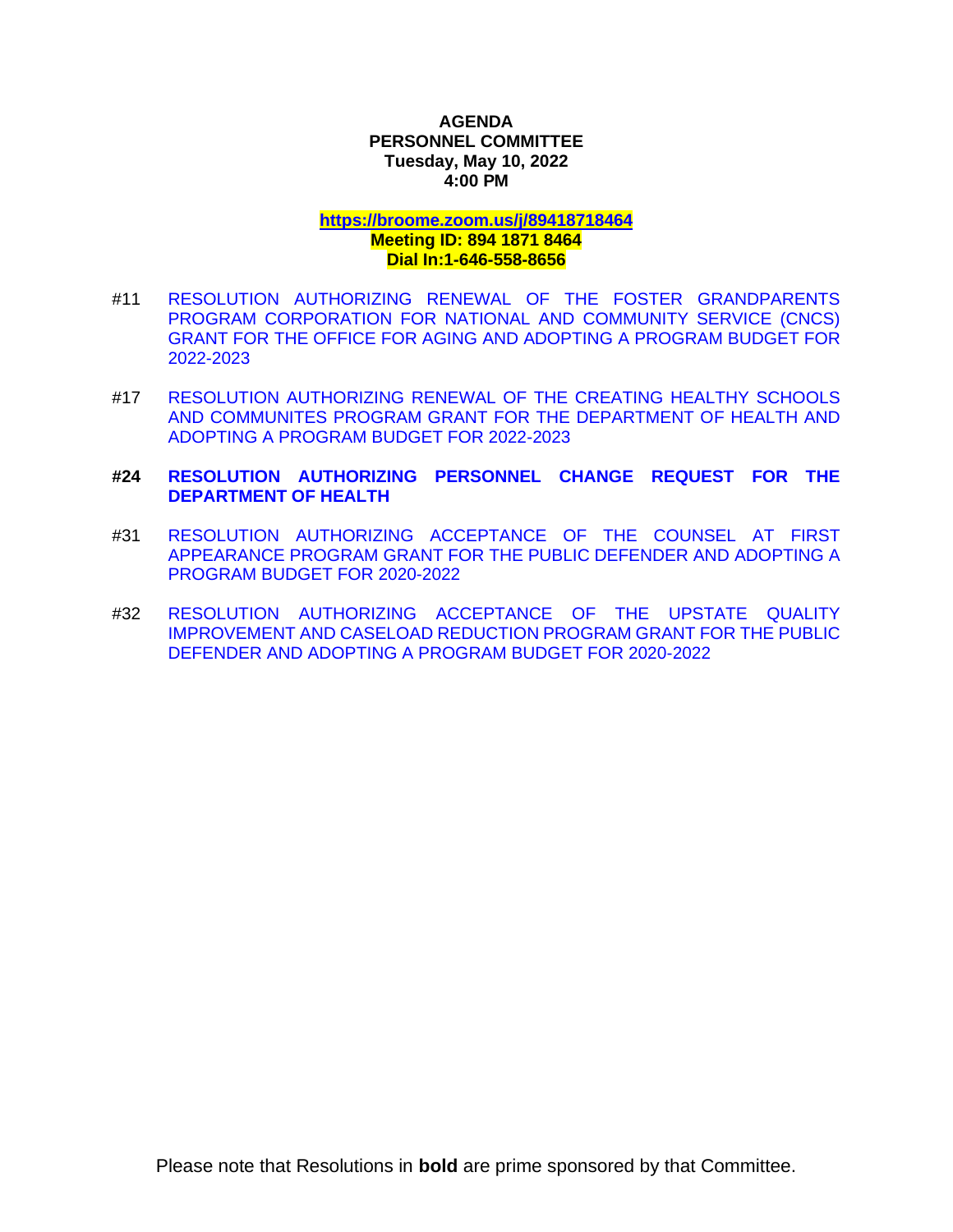# **AGENDA PERSONNEL COMMITTEE Tuesday, May 10, 2022 4:00 PM**

#### **<https://broome.zoom.us/j/89418718464> Meeting ID: 894 1871 8464**

# **Dial In:1-646-558-8656**

- #11 [RESOLUTION AUTHORIZING RENEWAL OF THE FOSTER GRANDPARENTS](https://www.gobroomecounty.com/sites/default/files/dept/legis/05192022-11.pdf)  [PROGRAM CORPORATION FOR NATIONAL AND COMMUNITY SERVICE \(CNCS\)](https://www.gobroomecounty.com/sites/default/files/dept/legis/05192022-11.pdf)  [GRANT FOR THE OFFICE FOR AGING AND ADOPTING A PROGRAM BUDGET FOR](https://www.gobroomecounty.com/sites/default/files/dept/legis/05192022-11.pdf)  [2022-2023](https://www.gobroomecounty.com/sites/default/files/dept/legis/05192022-11.pdf)
- #17 [RESOLUTION AUTHORIZING RENEWAL OF THE CREATING HEALTHY SCHOOLS](https://www.gobroomecounty.com/sites/default/files/dept/legis/05192022-17.pdf)  [AND COMMUNITES PROGRAM GRANT FOR THE DEPARTMENT OF](https://www.gobroomecounty.com/sites/default/files/dept/legis/05192022-17.pdf) HEALTH AND [ADOPTING A PROGRAM BUDGET FOR 2022-2023](https://www.gobroomecounty.com/sites/default/files/dept/legis/05192022-17.pdf)

# **#24 [RESOLUTION AUTHORIZING PERSONNEL CHANGE REQUEST FOR THE](https://www.gobroomecounty.com/sites/default/files/dept/legis/05192022-24.pdf)  [DEPARTMENT OF HEALTH](https://www.gobroomecounty.com/sites/default/files/dept/legis/05192022-24.pdf)**

- #31 [RESOLUTION AUTHORIZING ACCEPTANCE OF THE COUNSEL AT FIRST](https://www.gobroomecounty.com/sites/default/files/dept/legis/05192022-31.pdf)  [APPEARANCE PROGRAM GRANT FOR THE PUBLIC DEFENDER AND ADOPTING A](https://www.gobroomecounty.com/sites/default/files/dept/legis/05192022-31.pdf)  [PROGRAM BUDGET FOR 2020-2022](https://www.gobroomecounty.com/sites/default/files/dept/legis/05192022-31.pdf)
- #32 [RESOLUTION AUTHORIZING ACCEPTANCE OF THE UPSTATE QUALITY](https://www.gobroomecounty.com/sites/default/files/dept/legis/05192022-32.pdf)  [IMPROVEMENT AND CASELOAD REDUCTION PROGRAM GRANT FOR THE PUBLIC](https://www.gobroomecounty.com/sites/default/files/dept/legis/05192022-32.pdf)  [DEFENDER AND ADOPTING A PROGRAM BUDGET FOR 2020-2022](https://www.gobroomecounty.com/sites/default/files/dept/legis/05192022-32.pdf)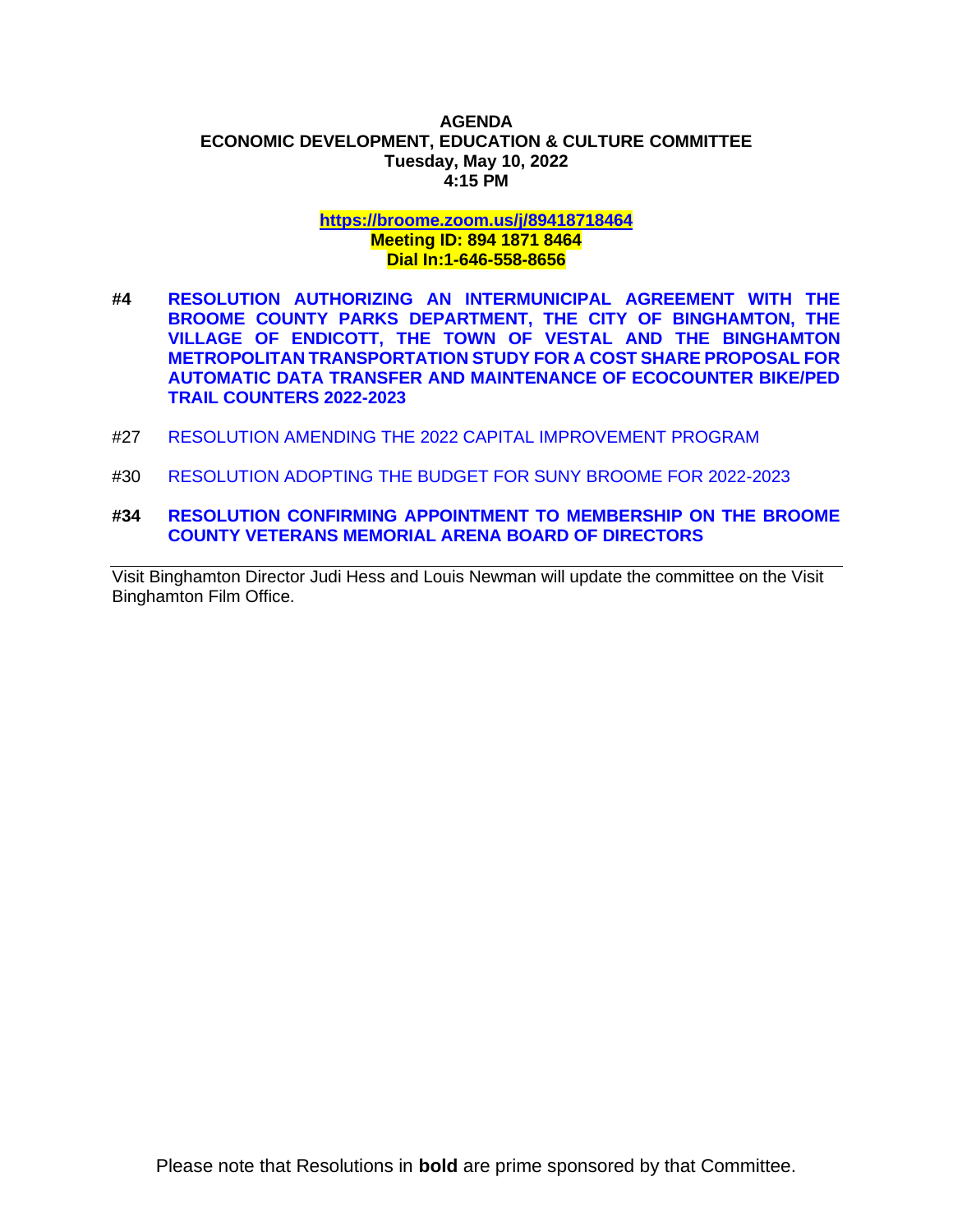#### **AGENDA ECONOMIC DEVELOPMENT, EDUCATION & CULTURE COMMITTEE Tuesday, May 10, 2022 4:15 PM**

#### **<https://broome.zoom.us/j/89418718464> Meeting ID: 894 1871 8464 Dial In:1-646-558-8656**

- **#4 [RESOLUTION AUTHORIZING AN INTERMUNICIPAL AGREEMENT WITH THE](https://www.gobroomecounty.com/sites/default/files/dept/legis/05192022-04.pdf)  [BROOME COUNTY PARKS DEPARTMENT, THE CITY OF BINGHAMTON, THE](https://www.gobroomecounty.com/sites/default/files/dept/legis/05192022-04.pdf)  [VILLAGE OF ENDICOTT, THE TOWN OF VESTAL AND THE BINGHAMTON](https://www.gobroomecounty.com/sites/default/files/dept/legis/05192022-04.pdf)  [METROPOLITAN TRANSPORTATION STUDY FOR A COST SHARE PROPOSAL FOR](https://www.gobroomecounty.com/sites/default/files/dept/legis/05192022-04.pdf)  [AUTOMATIC DATA TRANSFER AND MAINTENANCE OF ECOCOUNTER BIKE/PED](https://www.gobroomecounty.com/sites/default/files/dept/legis/05192022-04.pdf)  [TRAIL COUNTERS 2022-2023](https://www.gobroomecounty.com/sites/default/files/dept/legis/05192022-04.pdf)**
- #27 [RESOLUTION AMENDING THE 2022 CAPITAL IMPROVEMENT PROGRAM](https://www.gobroomecounty.com/sites/default/files/dept/legis/05192022-27.pdf)
- #30 [RESOLUTION ADOPTING THE BUDGET FOR SUNY BROOME FOR 2022-2023](https://www.gobroomecounty.com/sites/default/files/dept/legis/05192022-30.pdf)
- **#34 [RESOLUTION CONFIRMING APPOINTMENT TO MEMBERSHIP ON THE BROOME](https://www.gobroomecounty.com/sites/default/files/dept/legis/05192022-34.pdf)  [COUNTY VETERANS MEMORIAL ARENA BOARD OF DIRECTORS](https://www.gobroomecounty.com/sites/default/files/dept/legis/05192022-34.pdf)**

Visit Binghamton Director Judi Hess and Louis Newman will update the committee on the Visit Binghamton Film Office.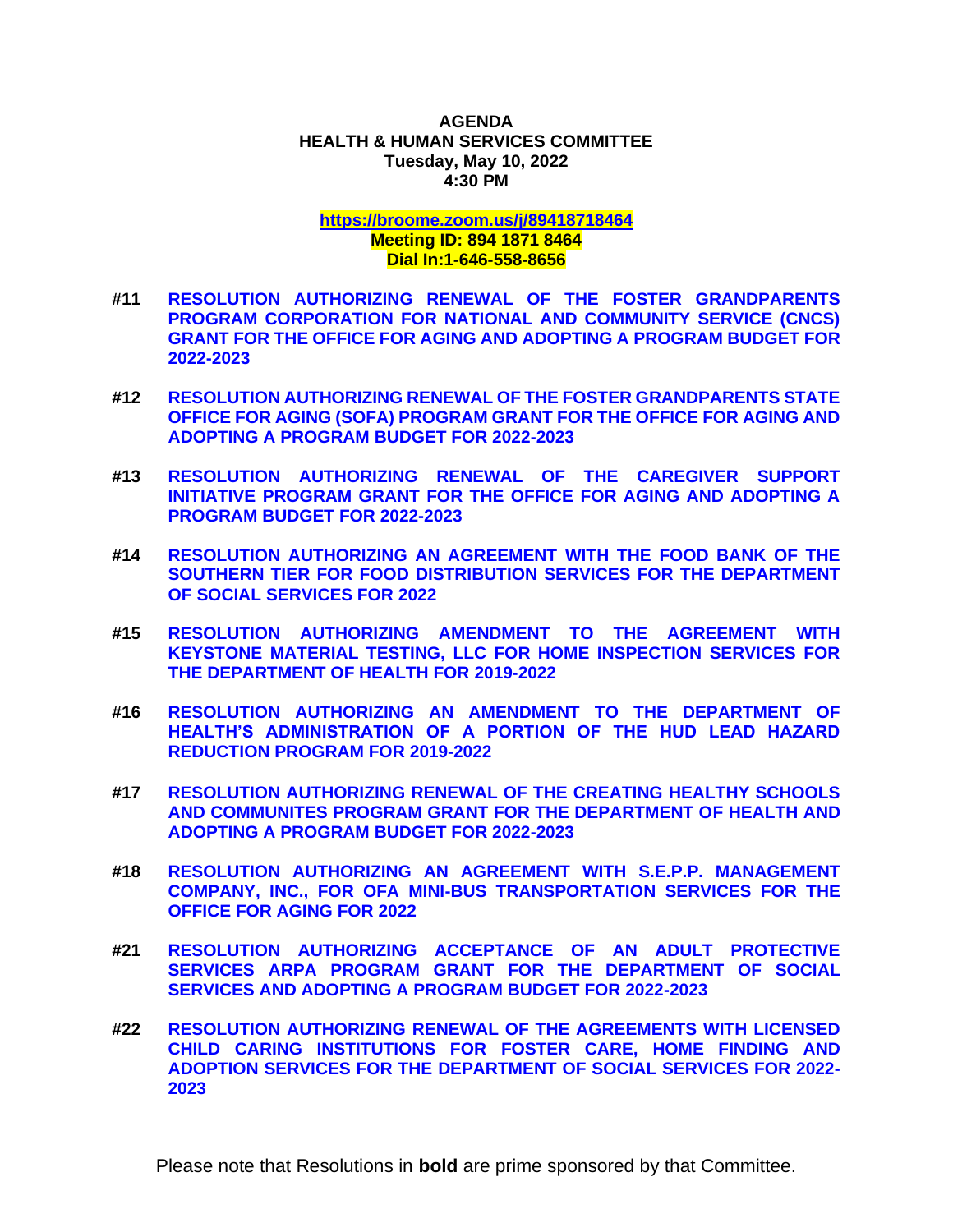#### **AGENDA HEALTH & HUMAN SERVICES COMMITTEE Tuesday, May 10, 2022 4:30 PM**

### **<https://broome.zoom.us/j/89418718464> Meeting ID: 894 1871 8464 Dial In:1-646-558-8656**

- **#11 [RESOLUTION AUTHORIZING RENEWAL OF THE FOSTER GRANDPARENTS](https://www.gobroomecounty.com/sites/default/files/dept/legis/05192022-11.pdf)  [PROGRAM CORPORATION FOR NATIONAL AND COMMUNITY SERVICE \(CNCS\)](https://www.gobroomecounty.com/sites/default/files/dept/legis/05192022-11.pdf)  [GRANT FOR THE OFFICE FOR AGING AND ADOPTING A PROGRAM BUDGET FOR](https://www.gobroomecounty.com/sites/default/files/dept/legis/05192022-11.pdf)  [2022-2023](https://www.gobroomecounty.com/sites/default/files/dept/legis/05192022-11.pdf)**
- **#12 [RESOLUTION AUTHORIZING RENEWAL OF THE FOSTER GRANDPARENTS STATE](https://www.gobroomecounty.com/sites/default/files/dept/legis/05192022-12.pdf)  [OFFICE FOR AGING \(SOFA\) PROGRAM GRANT FOR THE OFFICE FOR AGING AND](https://www.gobroomecounty.com/sites/default/files/dept/legis/05192022-12.pdf)  [ADOPTING A PROGRAM BUDGET FOR 2022-2023](https://www.gobroomecounty.com/sites/default/files/dept/legis/05192022-12.pdf)**
- **#13 [RESOLUTION AUTHORIZING RENEWAL OF THE CAREGIVER SUPPORT](https://www.gobroomecounty.com/sites/default/files/dept/legis/05192022-13.pdf)  [INITIATIVE PROGRAM GRANT FOR THE OFFICE FOR AGING AND ADOPTING A](https://www.gobroomecounty.com/sites/default/files/dept/legis/05192022-13.pdf)  [PROGRAM BUDGET FOR 2022-2023](https://www.gobroomecounty.com/sites/default/files/dept/legis/05192022-13.pdf)**
- **#14 [RESOLUTION AUTHORIZING AN AGREEMENT WITH THE FOOD BANK OF THE](https://www.gobroomecounty.com/sites/default/files/dept/legis/05192022-14.pdf)  [SOUTHERN TIER FOR FOOD DISTRIBUTION SERVICES FOR THE DEPARTMENT](https://www.gobroomecounty.com/sites/default/files/dept/legis/05192022-14.pdf)  [OF SOCIAL SERVICES FOR 2022](https://www.gobroomecounty.com/sites/default/files/dept/legis/05192022-14.pdf)**
- **#15 [RESOLUTION AUTHORIZING AMENDMENT TO THE AGREEMENT WITH](https://www.gobroomecounty.com/sites/default/files/dept/legis/05192022-15.pdf)  [KEYSTONE MATERIAL TESTING, LLC FOR HOME INSPECTION SERVICES FOR](https://www.gobroomecounty.com/sites/default/files/dept/legis/05192022-15.pdf)  [THE DEPARTMENT OF HEALTH FOR 2019-2022](https://www.gobroomecounty.com/sites/default/files/dept/legis/05192022-15.pdf)**
- **#16 [RESOLUTION AUTHORIZING AN AMENDMENT TO THE DEPARTMENT OF](https://www.gobroomecounty.com/sites/default/files/dept/legis/05192022-16.pdf)  [HEALTH'S ADMINISTRATION OF A PORTION OF THE HUD LEAD HAZARD](https://www.gobroomecounty.com/sites/default/files/dept/legis/05192022-16.pdf)  [REDUCTION PROGRAM FOR 2019-2022](https://www.gobroomecounty.com/sites/default/files/dept/legis/05192022-16.pdf)**
- **#17 [RESOLUTION AUTHORIZING RENEWAL OF THE CREATING HEALTHY SCHOOLS](https://www.gobroomecounty.com/sites/default/files/dept/legis/05192022-17.pdf)  [AND COMMUNITES PROGRAM GRANT FOR THE DEPARTMENT OF](https://www.gobroomecounty.com/sites/default/files/dept/legis/05192022-17.pdf) HEALTH AND [ADOPTING A PROGRAM BUDGET FOR 2022-2023](https://www.gobroomecounty.com/sites/default/files/dept/legis/05192022-17.pdf)**
- **#18 [RESOLUTION AUTHORIZING AN AGREEMENT WITH S.E.P.P. MANAGEMENT](https://www.gobroomecounty.com/sites/default/files/dept/legis/05192022-18.pdf)  [COMPANY, INC., FOR OFA MINI-BUS TRANSPORTATION SERVICES FOR THE](https://www.gobroomecounty.com/sites/default/files/dept/legis/05192022-18.pdf)  [OFFICE FOR AGING FOR 2022](https://www.gobroomecounty.com/sites/default/files/dept/legis/05192022-18.pdf)**
- **#21 [RESOLUTION AUTHORIZING ACCEPTANCE OF AN ADULT PROTECTIVE](https://www.gobroomecounty.com/sites/default/files/dept/legis/05192022-21.pdf)  [SERVICES ARPA PROGRAM GRANT FOR THE DEPARTMENT OF SOCIAL](https://www.gobroomecounty.com/sites/default/files/dept/legis/05192022-21.pdf)  [SERVICES AND ADOPTING A PROGRAM BUDGET FOR 2022-2023](https://www.gobroomecounty.com/sites/default/files/dept/legis/05192022-21.pdf)**
- **#22 [RESOLUTION AUTHORIZING RENEWAL OF THE AGREEMENTS WITH LICENSED](https://www.gobroomecounty.com/sites/default/files/dept/legis/05192022-22.pdf)  [CHILD CARING INSTITUTIONS FOR FOSTER CARE, HOME FINDING AND](https://www.gobroomecounty.com/sites/default/files/dept/legis/05192022-22.pdf)  [ADOPTION SERVICES FOR THE DEPARTMENT OF SOCIAL SERVICES FOR 2022-](https://www.gobroomecounty.com/sites/default/files/dept/legis/05192022-22.pdf) [2023](https://www.gobroomecounty.com/sites/default/files/dept/legis/05192022-22.pdf)**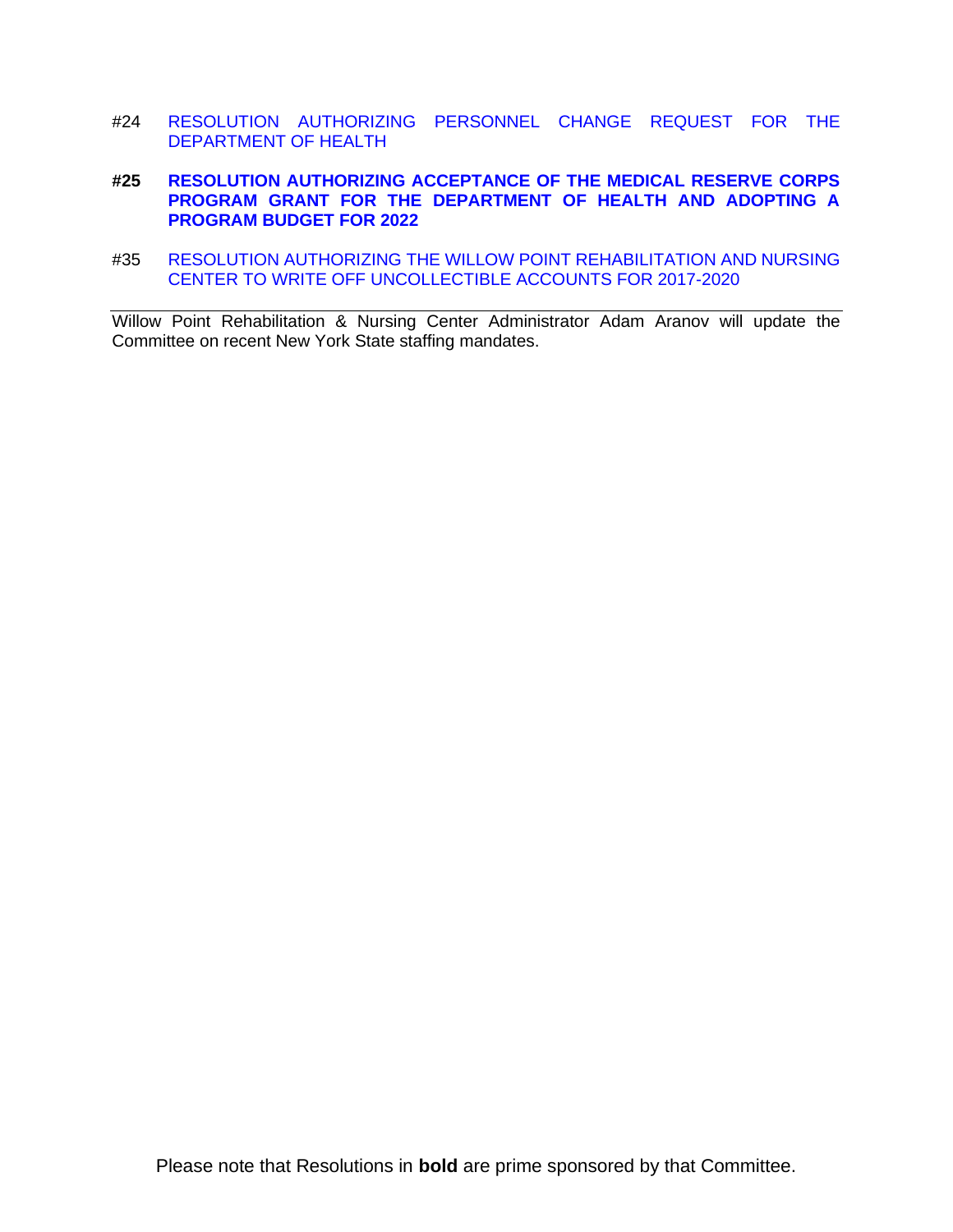- #24 [RESOLUTION AUTHORIZING PERSONNEL CHANGE REQUEST FOR THE](https://www.gobroomecounty.com/sites/default/files/dept/legis/05192022-24.pdf)  [DEPARTMENT OF HEALTH](https://www.gobroomecounty.com/sites/default/files/dept/legis/05192022-24.pdf)
- **#25 [RESOLUTION AUTHORIZING ACCEPTANCE OF THE MEDICAL RESERVE CORPS](https://www.gobroomecounty.com/sites/default/files/dept/legis/05192022-25.pdf)  [PROGRAM GRANT FOR THE DEPARTMENT OF HEALTH AND ADOPTING A](https://www.gobroomecounty.com/sites/default/files/dept/legis/05192022-25.pdf)  [PROGRAM BUDGET FOR 2022](https://www.gobroomecounty.com/sites/default/files/dept/legis/05192022-25.pdf)**
- #35 [RESOLUTION AUTHORIZING THE WILLOW POINT REHABILITATION AND NURSING](https://www.gobroomecounty.com/sites/default/files/dept/legis/05192022-35.pdf)  [CENTER TO WRITE OFF UNCOLLECTIBLE ACCOUNTS FOR 2017-2020](https://www.gobroomecounty.com/sites/default/files/dept/legis/05192022-35.pdf)

Willow Point Rehabilitation & Nursing Center Administrator Adam Aranov will update the Committee on recent New York State staffing mandates.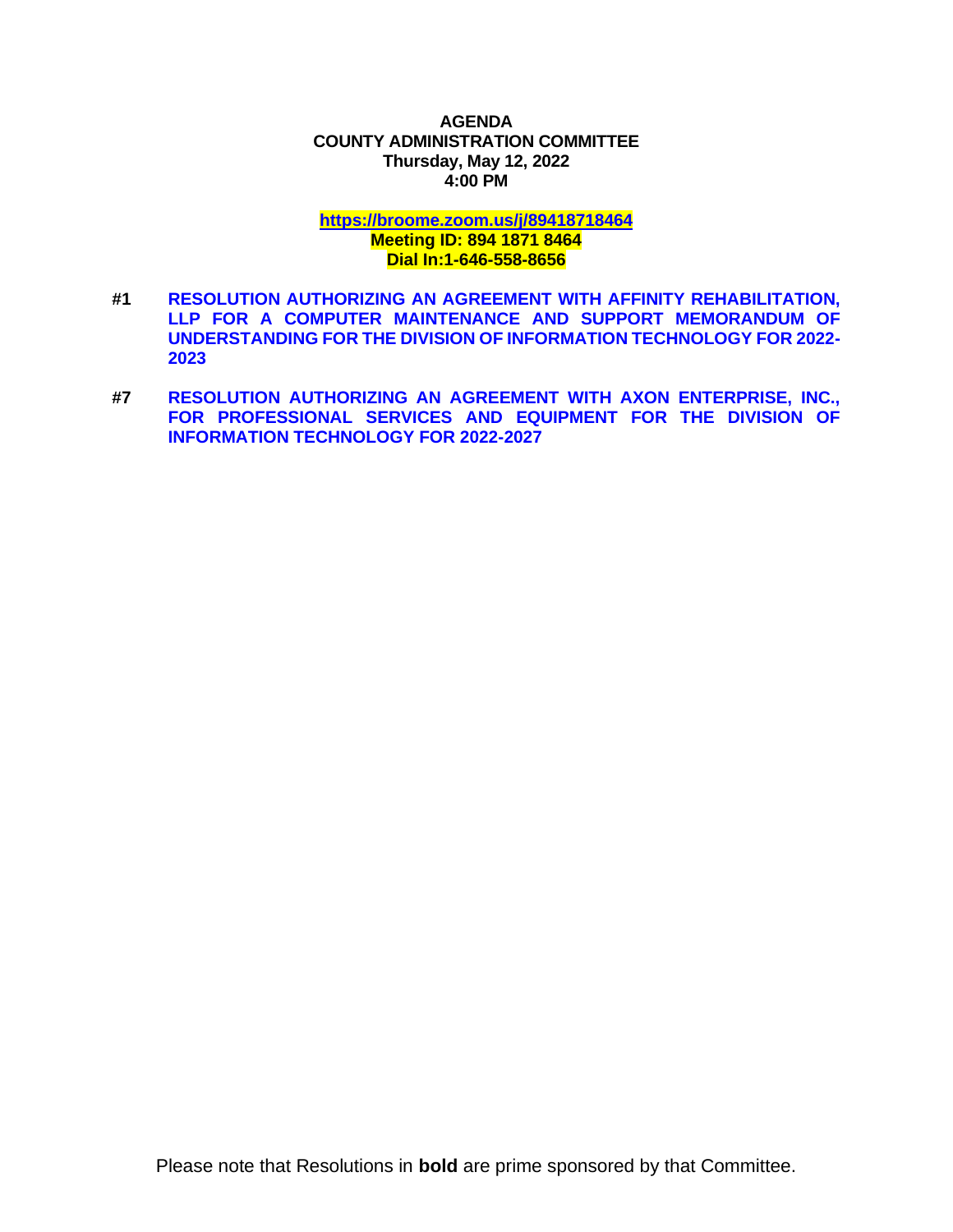### **AGENDA COUNTY ADMINISTRATION COMMITTEE Thursday, May 12, 2022 4:00 PM**

# **<https://broome.zoom.us/j/89418718464>**

## **Meeting ID: 894 1871 8464 Dial In:1-646-558-8656**

- **#1 [RESOLUTION AUTHORIZING AN AGREEMENT WITH AFFINITY REHABILITATION,](https://www.gobroomecounty.com/sites/default/files/dept/legis/05192022-01.pdf)  [LLP FOR A COMPUTER MAINTENANCE AND SUPPORT MEMORANDUM OF](https://www.gobroomecounty.com/sites/default/files/dept/legis/05192022-01.pdf)  [UNDERSTANDING FOR THE DIVISION OF INFORMATION TECHNOLOGY FOR 2022-](https://www.gobroomecounty.com/sites/default/files/dept/legis/05192022-01.pdf) [2023](https://www.gobroomecounty.com/sites/default/files/dept/legis/05192022-01.pdf)**
- **#7 [RESOLUTION AUTHORIZING AN AGREEMENT WITH AXON ENTERPRISE, INC.,](https://www.gobroomecounty.com/sites/default/files/dept/legis/05192022-07.pdf)  [FOR PROFESSIONAL SERVICES AND EQUIPMENT FOR THE DIVISION OF](https://www.gobroomecounty.com/sites/default/files/dept/legis/05192022-07.pdf)  [INFORMATION TECHNOLOGY FOR 2022-2027](https://www.gobroomecounty.com/sites/default/files/dept/legis/05192022-07.pdf)**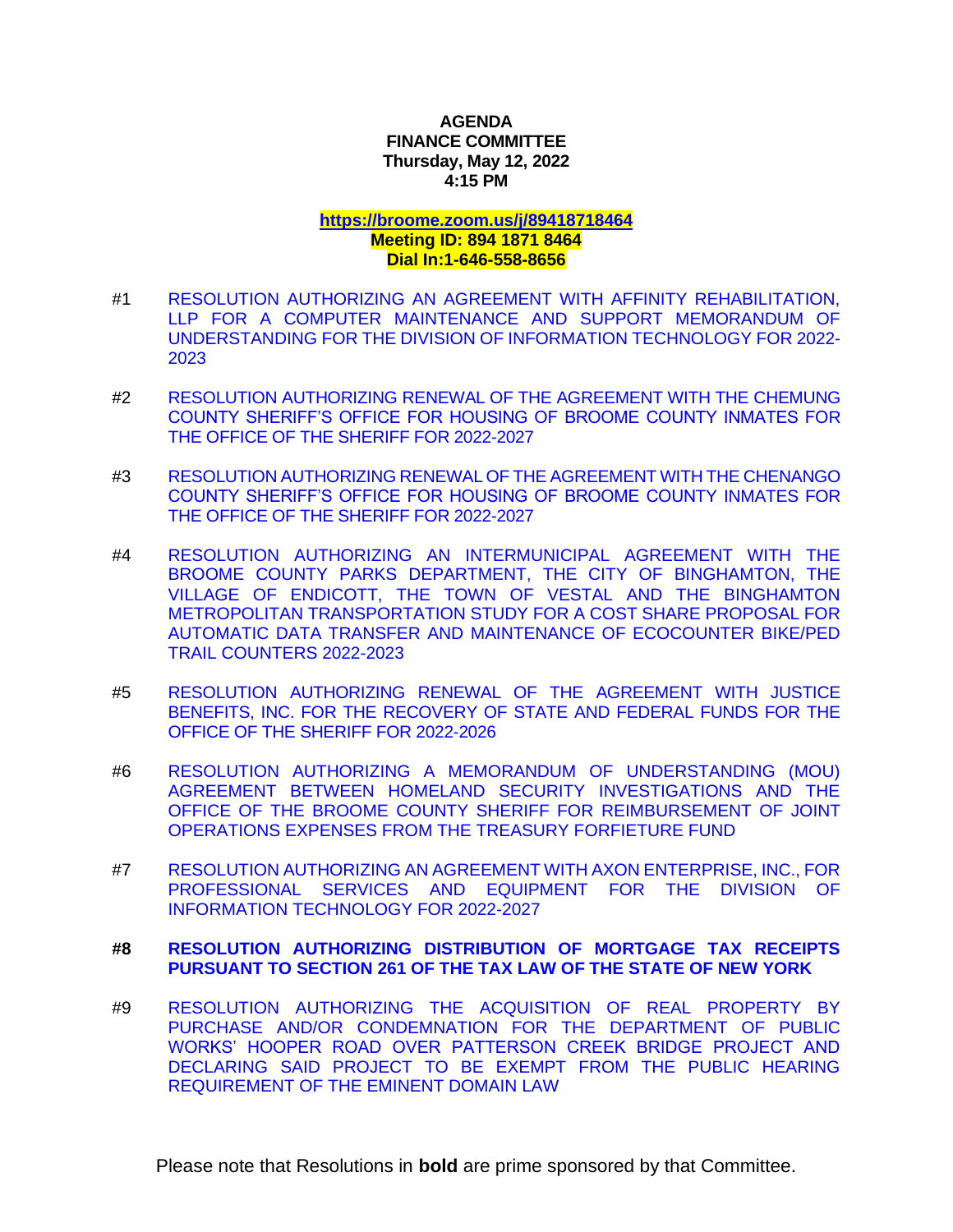# **AGENDA FINANCE COMMITTEE Thursday, May 12, 2022 4:15 PM**

#### **<https://broome.zoom.us/j/89418718464> Meeting ID: 894 1871 8464**

# **Dial In:1-646-558-8656**

- #1 [RESOLUTION AUTHORIZING AN AGREEMENT WITH AFFINITY REHABILITATION,](https://www.gobroomecounty.com/sites/default/files/dept/legis/05192022-01.pdf)  [LLP FOR A COMPUTER MAINTENANCE AND SUPPORT MEMORANDUM OF](https://www.gobroomecounty.com/sites/default/files/dept/legis/05192022-01.pdf)  [UNDERSTANDING FOR THE DIVISION OF INFORMATION TECHNOLOGY FOR 2022-](https://www.gobroomecounty.com/sites/default/files/dept/legis/05192022-01.pdf) [2023](https://www.gobroomecounty.com/sites/default/files/dept/legis/05192022-01.pdf)
- #2 [RESOLUTION AUTHORIZING RENEWAL OF THE AGREEMENT WITH THE CHEMUNG](https://www.gobroomecounty.com/sites/default/files/dept/legis/05192022-02.pdf)  [COUNTY SHERIFF'S OFFICE FOR HOUSING OF BROOME COUNTY INMATES FOR](https://www.gobroomecounty.com/sites/default/files/dept/legis/05192022-02.pdf)  [THE OFFICE OF THE SHERIFF FOR 2022-2027](https://www.gobroomecounty.com/sites/default/files/dept/legis/05192022-02.pdf)
- #3 [RESOLUTION AUTHORIZING RENEWAL OF THE AGREEMENT WITH THE CHENANGO](https://www.gobroomecounty.com/sites/default/files/dept/legis/05192022-03.pdf)  [COUNTY SHERIFF'S OFFICE FOR HOUSING OF BROOME COUNTY INMATES FOR](https://www.gobroomecounty.com/sites/default/files/dept/legis/05192022-03.pdf)  [THE OFFICE OF THE SHERIFF FOR 2022-2027](https://www.gobroomecounty.com/sites/default/files/dept/legis/05192022-03.pdf)
- #4 [RESOLUTION AUTHORIZING AN INTERMUNICIPAL AGREEMENT WITH THE](https://www.gobroomecounty.com/sites/default/files/dept/legis/05192022-04.pdf)  [BROOME COUNTY PARKS DEPARTMENT, THE CITY OF](https://www.gobroomecounty.com/sites/default/files/dept/legis/05192022-04.pdf) BINGHAMTON, THE [VILLAGE OF ENDICOTT, THE TOWN OF VESTAL AND THE BINGHAMTON](https://www.gobroomecounty.com/sites/default/files/dept/legis/05192022-04.pdf)  [METROPOLITAN TRANSPORTATION STUDY FOR A COST SHARE PROPOSAL FOR](https://www.gobroomecounty.com/sites/default/files/dept/legis/05192022-04.pdf)  [AUTOMATIC DATA TRANSFER AND MAINTENANCE OF ECOCOUNTER BIKE/PED](https://www.gobroomecounty.com/sites/default/files/dept/legis/05192022-04.pdf)  [TRAIL COUNTERS 2022-2023](https://www.gobroomecounty.com/sites/default/files/dept/legis/05192022-04.pdf)
- #5 [RESOLUTION AUTHORIZING RENEWAL OF THE AGREEMENT WITH JUSTICE](https://www.gobroomecounty.com/sites/default/files/dept/legis/05192022-05.pdf)  [BENEFITS, INC. FOR THE RECOVERY OF STATE AND FEDERAL FUNDS FOR THE](https://www.gobroomecounty.com/sites/default/files/dept/legis/05192022-05.pdf)  [OFFICE OF THE SHERIFF FOR 2022-2026](https://www.gobroomecounty.com/sites/default/files/dept/legis/05192022-05.pdf)
- #6 [RESOLUTION AUTHORIZING A MEMORANDUM OF UNDERSTANDING \(MOU\)](https://www.gobroomecounty.com/sites/default/files/dept/legis/05192022-06.pdf)  [AGREEMENT BETWEEN HOMELAND SECURITY INVESTIGATIONS AND THE](https://www.gobroomecounty.com/sites/default/files/dept/legis/05192022-06.pdf)  [OFFICE OF THE BROOME COUNTY SHERIFF FOR REIMBURSEMENT OF JOINT](https://www.gobroomecounty.com/sites/default/files/dept/legis/05192022-06.pdf)  [OPERATIONS EXPENSES FROM THE TREASURY FORFIETURE FUND](https://www.gobroomecounty.com/sites/default/files/dept/legis/05192022-06.pdf)
- #7 [RESOLUTION AUTHORIZING AN AGREEMENT WITH AXON ENTERPRISE, INC., FOR](https://www.gobroomecounty.com/sites/default/files/dept/legis/05192022-07.pdf)  [PROFESSIONAL SERVICES AND EQUIPMENT FOR THE DIVISION OF](https://www.gobroomecounty.com/sites/default/files/dept/legis/05192022-07.pdf)  [INFORMATION TECHNOLOGY FOR 2022-2027](https://www.gobroomecounty.com/sites/default/files/dept/legis/05192022-07.pdf)

# **#8 [RESOLUTION AUTHORIZING DISTRIBUTION OF MORTGAGE TAX RECEIPTS](https://www.gobroomecounty.com/sites/default/files/dept/legis/05192022-08.pdf)  [PURSUANT TO SECTION 261 OF THE TAX LAW OF THE STATE OF NEW YORK](https://www.gobroomecounty.com/sites/default/files/dept/legis/05192022-08.pdf)**

#9 [RESOLUTION AUTHORIZING THE ACQUISITION OF REAL PROPERTY BY](https://www.gobroomecounty.com/sites/default/files/dept/legis/05192022-09.pdf)  [PURCHASE AND/OR CONDEMNATION FOR THE DEPARTMENT OF PUBLIC](https://www.gobroomecounty.com/sites/default/files/dept/legis/05192022-09.pdf)  [WORKS' HOOPER ROAD OVER PATTERSON CREEK BRIDGE PROJECT AND](https://www.gobroomecounty.com/sites/default/files/dept/legis/05192022-09.pdf)  [DECLARING SAID PROJECT TO BE EXEMPT FROM THE PUBLIC HEARING](https://www.gobroomecounty.com/sites/default/files/dept/legis/05192022-09.pdf)  [REQUIREMENT OF THE EMINENT DOMAIN LAW](https://www.gobroomecounty.com/sites/default/files/dept/legis/05192022-09.pdf)

Please note that Resolutions in **bold** are prime sponsored by that Committee.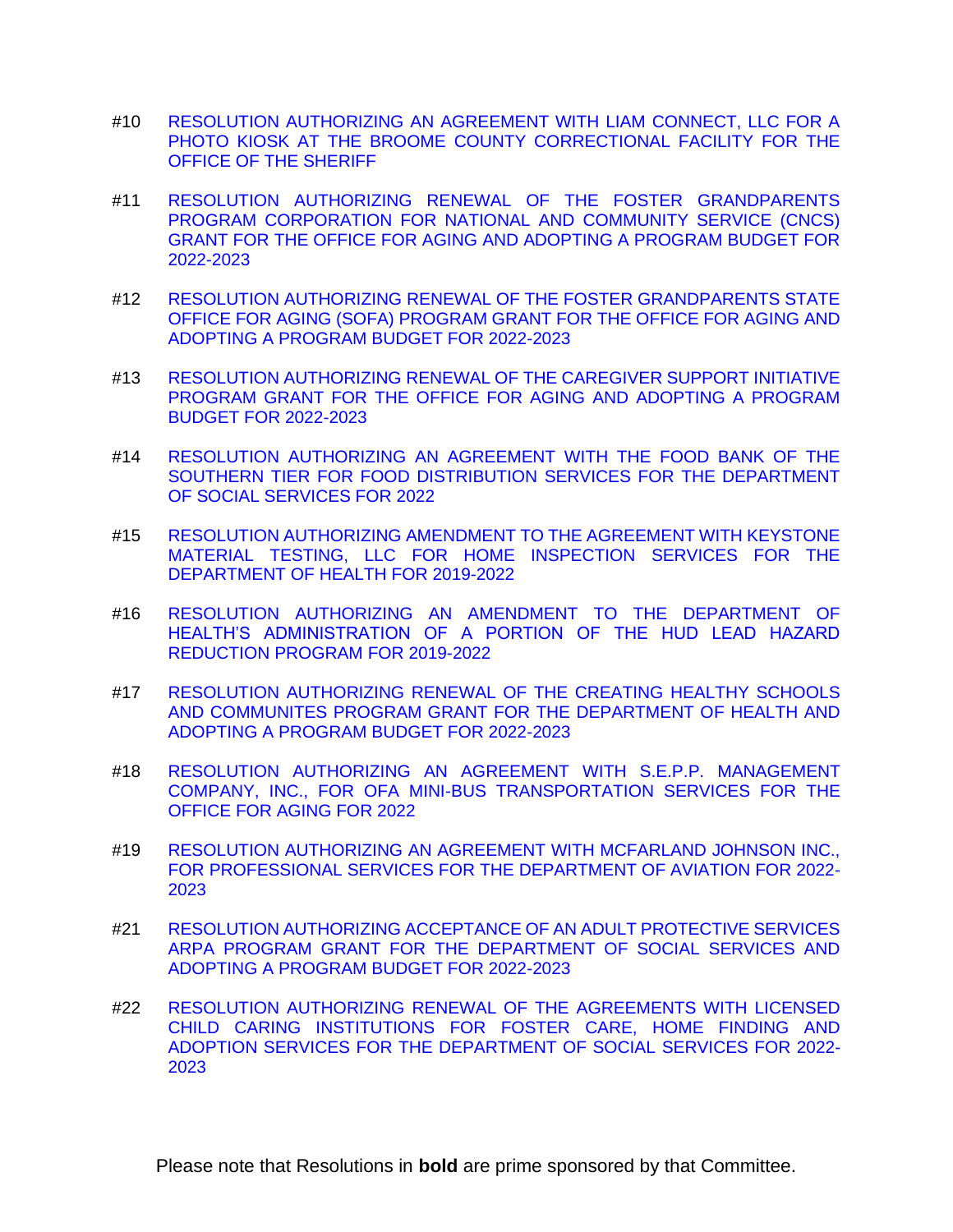- #10 [RESOLUTION AUTHORIZING AN AGREEMENT WITH LIAM CONNECT, LLC FOR A](https://www.gobroomecounty.com/sites/default/files/dept/legis/05192022-10.pdf)  [PHOTO KIOSK AT THE BROOME COUNTY CORRECTIONAL FACILITY FOR THE](https://www.gobroomecounty.com/sites/default/files/dept/legis/05192022-10.pdf)  [OFFICE OF THE SHERIFF](https://www.gobroomecounty.com/sites/default/files/dept/legis/05192022-10.pdf)
- #11 [RESOLUTION AUTHORIZING RENEWAL OF THE FOSTER GRANDPARENTS](https://www.gobroomecounty.com/sites/default/files/dept/legis/05192022-11.pdf)  [PROGRAM CORPORATION FOR NATIONAL AND COMMUNITY SERVICE \(CNCS\)](https://www.gobroomecounty.com/sites/default/files/dept/legis/05192022-11.pdf)  [GRANT FOR THE OFFICE FOR AGING AND ADOPTING A PROGRAM BUDGET FOR](https://www.gobroomecounty.com/sites/default/files/dept/legis/05192022-11.pdf)  [2022-2023](https://www.gobroomecounty.com/sites/default/files/dept/legis/05192022-11.pdf)
- #12 [RESOLUTION AUTHORIZING RENEWAL OF THE FOSTER GRANDPARENTS STATE](https://www.gobroomecounty.com/sites/default/files/dept/legis/05192022-12.pdf)  [OFFICE FOR AGING \(SOFA\) PROGRAM GRANT FOR THE OFFICE FOR AGING AND](https://www.gobroomecounty.com/sites/default/files/dept/legis/05192022-12.pdf)  [ADOPTING A PROGRAM BUDGET FOR 2022-2023](https://www.gobroomecounty.com/sites/default/files/dept/legis/05192022-12.pdf)
- #13 [RESOLUTION AUTHORIZING RENEWAL OF THE CAREGIVER SUPPORT INITIATIVE](https://www.gobroomecounty.com/sites/default/files/dept/legis/05192022-13.pdf)  [PROGRAM GRANT FOR THE OFFICE FOR AGING AND ADOPTING A PROGRAM](https://www.gobroomecounty.com/sites/default/files/dept/legis/05192022-13.pdf)  [BUDGET FOR 2022-2023](https://www.gobroomecounty.com/sites/default/files/dept/legis/05192022-13.pdf)
- #14 [RESOLUTION AUTHORIZING AN AGREEMENT WITH THE FOOD BANK OF THE](https://www.gobroomecounty.com/sites/default/files/dept/legis/05192022-14.pdf)  [SOUTHERN TIER FOR FOOD DISTRIBUTION SERVICES FOR THE DEPARTMENT](https://www.gobroomecounty.com/sites/default/files/dept/legis/05192022-14.pdf)  [OF SOCIAL SERVICES FOR 2022](https://www.gobroomecounty.com/sites/default/files/dept/legis/05192022-14.pdf)
- #15 [RESOLUTION AUTHORIZING AMENDMENT TO THE AGREEMENT WITH KEYSTONE](https://www.gobroomecounty.com/sites/default/files/dept/legis/05192022-15.pdf)  [MATERIAL TESTING, LLC FOR HOME INSPECTION SERVICES FOR THE](https://www.gobroomecounty.com/sites/default/files/dept/legis/05192022-15.pdf)  [DEPARTMENT OF HEALTH FOR 2019-2022](https://www.gobroomecounty.com/sites/default/files/dept/legis/05192022-15.pdf)
- #16 [RESOLUTION AUTHORIZING AN AMENDMENT TO THE DEPARTMENT OF](https://www.gobroomecounty.com/sites/default/files/dept/legis/05192022-16.pdf)  [HEALTH'S ADMINISTRATION OF A PORTION OF THE HUD LEAD HAZARD](https://www.gobroomecounty.com/sites/default/files/dept/legis/05192022-16.pdf)  [REDUCTION PROGRAM FOR 2019-2022](https://www.gobroomecounty.com/sites/default/files/dept/legis/05192022-16.pdf)
- #17 [RESOLUTION AUTHORIZING RENEWAL OF THE CREATING HEALTHY SCHOOLS](https://www.gobroomecounty.com/sites/default/files/dept/legis/05192022-17.pdf)  [AND COMMUNITES PROGRAM GRANT FOR THE DEPARTMENT OF](https://www.gobroomecounty.com/sites/default/files/dept/legis/05192022-17.pdf) HEALTH AND [ADOPTING A PROGRAM BUDGET FOR 2022-2023](https://www.gobroomecounty.com/sites/default/files/dept/legis/05192022-17.pdf)
- #18 [RESOLUTION AUTHORIZING AN AGREEMENT WITH S.E.P.P. MANAGEMENT](https://www.gobroomecounty.com/sites/default/files/dept/legis/05192022-18.pdf)  [COMPANY, INC., FOR OFA MINI-BUS TRANSPORTATION SERVICES FOR THE](https://www.gobroomecounty.com/sites/default/files/dept/legis/05192022-18.pdf)  [OFFICE FOR AGING FOR 2022](https://www.gobroomecounty.com/sites/default/files/dept/legis/05192022-18.pdf)
- #19 [RESOLUTION AUTHORIZING AN AGREEMENT WITH MCFARLAND JOHNSON INC.,](https://www.gobroomecounty.com/sites/default/files/dept/legis/05192022-19.pdf)  [FOR PROFESSIONAL SERVICES FOR THE DEPARTMENT OF AVIATION FOR 2022-](https://www.gobroomecounty.com/sites/default/files/dept/legis/05192022-19.pdf) [2023](https://www.gobroomecounty.com/sites/default/files/dept/legis/05192022-19.pdf)
- #21 [RESOLUTION AUTHORIZING ACCEPTANCE OF AN ADULT PROTECTIVE SERVICES](https://www.gobroomecounty.com/sites/default/files/dept/legis/05192022-21.pdf)  [ARPA PROGRAM GRANT FOR THE DEPARTMENT OF SOCIAL SERVICES AND](https://www.gobroomecounty.com/sites/default/files/dept/legis/05192022-21.pdf)  [ADOPTING A PROGRAM BUDGET FOR 2022-2023](https://www.gobroomecounty.com/sites/default/files/dept/legis/05192022-21.pdf)
- #22 [RESOLUTION AUTHORIZING RENEWAL OF THE AGREEMENTS WITH LICENSED](https://www.gobroomecounty.com/sites/default/files/dept/legis/05192022-22.pdf)  [CHILD CARING INSTITUTIONS FOR FOSTER CARE, HOME FINDING AND](https://www.gobroomecounty.com/sites/default/files/dept/legis/05192022-22.pdf)  [ADOPTION SERVICES FOR THE DEPARTMENT OF SOCIAL](https://www.gobroomecounty.com/sites/default/files/dept/legis/05192022-22.pdf) SERVICES FOR 2022- [2023](https://www.gobroomecounty.com/sites/default/files/dept/legis/05192022-22.pdf)